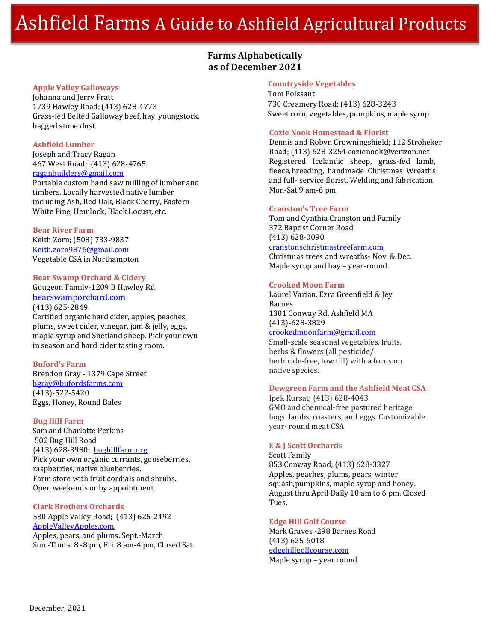# Ashfield Farms A Guide to Ashfield Agricultural Products

# **Farms Alphabetically as of December 2021**

#### **Apple Valley Galloways**

Johanna and Jerry Pratt 1739 Hawley Road; (413) 628-4773 Grass-fed Belted Galloway beef, hay, youngstock, bagged stone dust.

#### **Ashfield Lumber**

Joseph and Tracy Ragan 467 West Road; (413) 628-4765 [raganbuilders@gmail.com](mailto:raganbuilders@gmail.com) Portable custom band saw milling of lumber and timbers. Locally harvested native lumber including Ash, Red Oak, Black Cherry, Eastern White Pine, Hemlock, Black Locust, etc.

#### **Bear River Farm**

Keith Zorn; (508) 733-9837 [Keith.zorn9876@gmail.com](mailto:Keith.zorn9876@gmail.com) Vegetable CSA in Northampton

#### **Bear Swamp Orchard & Cidery**

Gougeon Family-1209 B Hawley Rd [bearswamporchard.com](http://bearswamporchard.com/) (413) 625-2849 Certified organic hard cider, apples, peaches, plums, sweet cider, vinegar, jam & jelly, eggs, maple syrup and Shetland sheep. Pick your own in season and hard cider tasting room.

#### **Buford's Farm**

Brendon Gray - 1379 Cape Street [bgray@bufordsfarms.com](mailto:bgray@bufordsfarms.com) (413)-522-5420 Eggs, Honey, Round Bales

#### **Bug Hill Farm**

Sam and Charlotte Perkins 502 Bug Hill Road (413) 628-3980; bughillfarm.org Pick your own organic currants, gooseberries, raspberries, native blueberries. Farm store with fruit cordials and shrubs. Open weekends or by appointment.

#### **Clark Brothers Orchards**

580 Apple Valley Road; (413) 625-2492 AppleValleyApples.com Apples, pears, and plums. Sept.-March Sun.-Thurs. 8 -8 pm, Fri. 8 am-4 pm, Closed Sat.

#### **Countryside Vegetables**

Tom Poissant 730 Creamery Road; (413) 628-3243 Sweet corn, vegetables, pumpkins, maple syrup

#### **Cozie Nook Homestead & Florist**

Dennis and Robyn Crowningshield; 112 Stroheker Road; (413) 628-3254 [cozienook@verizon.net](mailto:cozienook@verizon.net) Registered Icelandic sheep, grass-fed lamb, fleece,breeding, handmade Christmas Wreaths and full- service florist. Welding and fabrication. Mon-Sat 9 am-6 pm

#### **Cranston's Tree Farm**

Tom and Cynthia Cranston and Family 372 Baptist Corner Road (413) 628-0090 cranstonschristmastreefarm.com Christmas trees and wreaths- Nov. & Dec. Maple syrup and hay – year-round.

#### **Crooked Moon Farm**

Laurel Varian, Ezra Greenfield & Jey Barnes 1301 Conway Rd. Ashfield MA (413)-628-3829 [crookedmoonfarm@gmail.com](mailto:crookedmoonfarm@gmail.com) Small-scale seasonal vegetables, fruits, herbs & flowers (all pesticide/ herbicide-free, low till) with a focus on native species.

#### **Dewgreen Farm and the Ashfield Meat CSA**

Ipek Kursat; (413) 628-4043 GMO and chemical-free pastured heritage hogs, lambs, roasters, and eggs. Customizable year- round meat CSA.

#### **E & J Scott Orchards**

Scott Family 853 Conway Road; (413) 628-3327 Apples, peaches, plums, pears, winter squash,pumpkins, maple syrup and honey. August thru April Daily 10 am to 6 pm. Closed Tues.

### **Edge Hill Golf Course**

Mark Graves -298 Barnes Road (413) 625-6018 edgehillgolfcourse.com Maple syrup – year round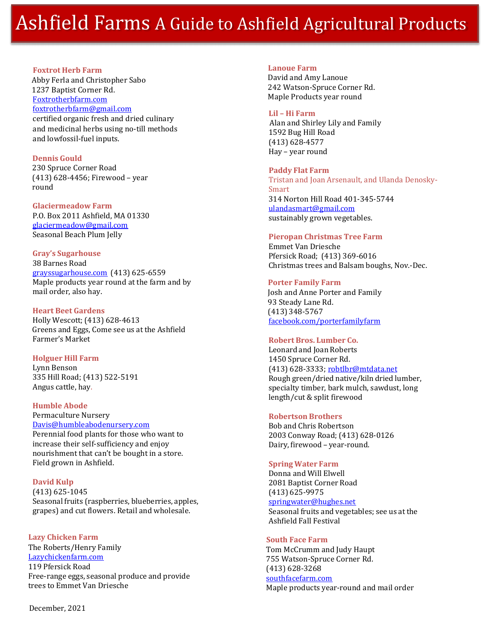# Ashfield Farms A Guide to Ashfield Agricultural Products

# **Foxtrot Herb Farm** Abby Ferla and Christopher Sabo 1237 Baptist Corner Rd. Foxtrotherbfarm.com [foxtrotherbfarm@gmail.com](mailto:foxtrotherbfarm@gmail.com) certified organic fresh and dried culinary

and medicinal herbs using no-till methods and lowfossil-fuel inputs.

### **Dennis Gould**

230 Spruce Corner Road (413) 628-4456; Firewood – year round

# **Glaciermeadow Farm**

P.O. Box 2011 Ashfield, MA 01330 [glaciermeadow@gmail.com](mailto:glaciermeadow@gmail.com) Seasonal Beach Plum Jelly

#### **Gray's Sugarhouse** 38 Barnes Road

[grayssugarhouse.com](http://grayssugarhouse.com/) (413) 625-6559 Maple products year round at the farm and by mail order, also hay.

#### **Heart Beet Gardens**

Holly Wescott; (413) 628-4613 Greens and Eggs, Come see us at the Ashfield Farmer's Market

# **Holguer Hill Farm**

Lynn Benson 335 Hill Road; (413) 522-5191 Angus cattle, hay.

# **Humble Abode**

#### Permaculture Nursery Davis@humbleabodenursery.com

Perennial food plants for those who want to increase their self-sufficiency and enjoy nourishment that can't be bought in a store. Field grown in Ashfield.

# **David Kulp**

(413) 625-1045 Seasonal fruits (raspberries, blueberries, apples, grapes) and cut flowers. Retail and wholesale.

# **Lazy Chicken Farm**

The Roberts/Henry Family Lazychickenfarm.com 119 Pfersick Road Free-range eggs, seasonal produce and provide trees to Emmet Van Driesche

December, 2021

### **Lanoue Farm**

 David and Amy Lanoue 242 Watson-Spruce Corner Rd. Maple Products year round

# **Lil – Hi Farm**

 Alan and Shirley Lily and Family 1592 Bug Hill Road (413) 628-4577 Hay – year round

## **Paddy Flat Farm**

Tristan and Joan Arsenault, and Ulanda Denosky-Smart 314 Norton Hill Road 401-345-5744 ulandasmart@gmail.com sustainably grown vegetables.

## **Pieropan Christmas Tree Farm**

Emmet Van Driesche Pfersick Road; (413) 369-6016 Christmas trees and Balsam boughs, Nov.-Dec.

# **Porter Family Farm**

Josh and Anne Porter and Family 93 Steady Lane Rd. (413) 348-5767 facebook.com/porterfamilyfarm

#### **Robert Bros. Lumber Co.**

Leonard and Joan Roberts 1450 Spruce Corner Rd. (413) 628-3333; [robtlbr@mtdata.net](mailto:robtlbr@mtdata.net) Rough green/dried native/kiln dried lumber, specialty timber, bark mulch, sawdust, long length/cut & split firewood

# **Robertson Brothers**

Bob and Chris Robertson 2003 Conway Road; (413) 628-0126 Dairy, firewood – year-round.

#### **Spring Water Farm**

Donna and Will Elwell 2081 Baptist Corner Road (413) 625-9975 [springwater@hughes.net](mailto:springwater@hughes.net)

Seasonal fruits and vegetables; see us at the Ashfield Fall Festival

# **South Face Farm**

Tom McCrumm and Judy Haupt 755 Watson-Spruce Corner Rd. (413) 628-3268 southfacefarm.com Maple products year-round and mail order